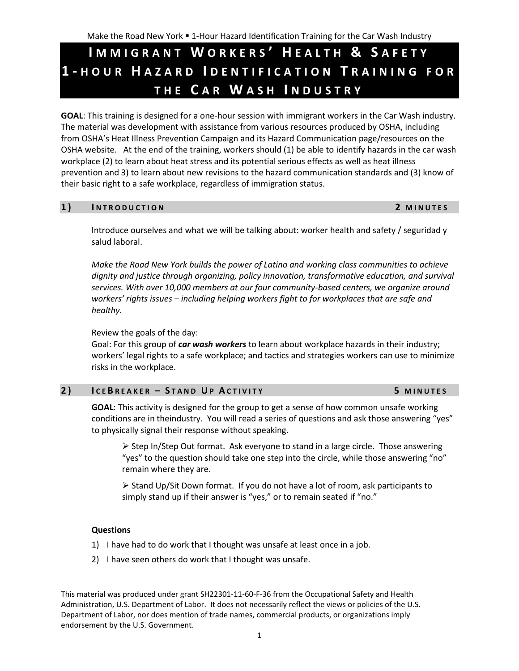# **I M M I G R A N T W O R K E R S ' H E A L T H & S A F E T Y 1 - H O U R H A Z A R D I D E N T I F I C A T I O N T R A I N I N G F O R T H E C A R W A S H I N D U S T R Y**

**GOAL**: This training is designed for a one-hour session with immigrant workers in the Car Wash industry. The material was development with assistance from various resources produced by OSHA, including from OSHA's Heat Illness Prevention Campaign and its Hazard Communication page/resources on the OSHA website. At the end of the training, workers should (1) be able to identify hazards in the car wash workplace (2) to learn about heat stress and its potential serious effects as well as heat illness prevention and 3) to learn about new revisions to the hazard communication standards and (3) know of their basic right to a safe workplace, regardless of immigration status.

### **1 ) I N T R O D U C T I O N 2 M I N U T E S**

Introduce ourselves and what we will be talking about: worker health and safety / seguridad y salud laboral.

*Make the Road New York builds the power of Latino and working class communities to achieve dignity and justice through organizing, policy innovation, transformative education, and survival services. With over 10,000 members at our four community-based centers, we organize around workers' rights issues – including helping workers fight to for workplaces that are safe and healthy.* 

Review the goals of the day:

Goal: For this group of *car wash workers* to learn about workplace hazards in their industry; workers' legal rights to a safe workplace; and tactics and strategies workers can use to minimize risks in the workplace.

# **2 ) I C E B R E A K E R – S T A N D U P A C T I V I T Y 5 M I N U T E S**

**GOAL**: This activity is designed for the group to get a sense of how common unsafe working conditions are in theindustry. You will read a series of questions and ask those answering "yes" to physically signal their response without speaking.

 $\triangleright$  Step In/Step Out format. Ask everyone to stand in a large circle. Those answering "yes" to the question should take one step into the circle, while those answering "no" remain where they are.

 $\triangleright$  Stand Up/Sit Down format. If you do not have a lot of room, ask participants to simply stand up if their answer is "yes," or to remain seated if "no."

### **Questions**

- 1) I have had to do work that I thought was unsafe at least once in a job.
- 2) I have seen others do work that I thought was unsafe.

This material was produced under grant SH22301-11-60-F-36 from the Occupational Safety and Health Administration, U.S. Department of Labor. It does not necessarily reflect the views or policies of the U.S. Department of Labor, nor does mention of trade names, commercial products, or organizations imply endorsement by the U.S. Government.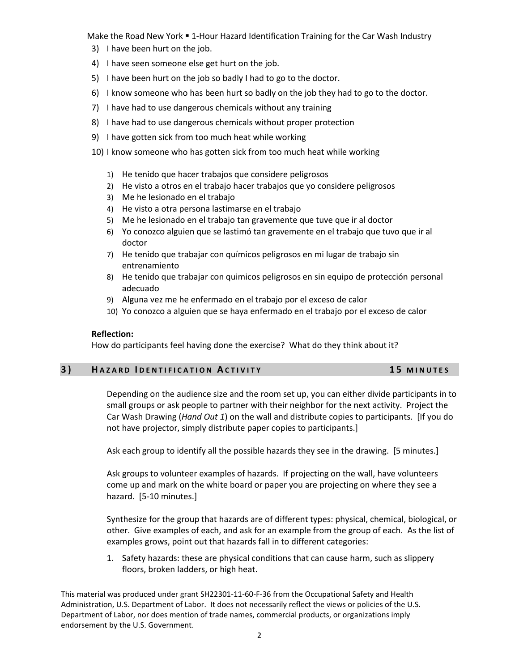Make the Road New York . 1-Hour Hazard Identification Training for the Car Wash Industry

- 3) I have been hurt on the job.
- 4) I have seen someone else get hurt on the job.
- 5) I have been hurt on the job so badly I had to go to the doctor.
- 6) I know someone who has been hurt so badly on the job they had to go to the doctor.
- 7) I have had to use dangerous chemicals without any training
- 8) I have had to use dangerous chemicals without proper protection
- 9) I have gotten sick from too much heat while working
- 10) I know someone who has gotten sick from too much heat while working
	- 1) He tenido que hacer trabajos que considere peligrosos
	- 2) He visto a otros en el trabajo hacer trabajos que yo considere peligrosos
	- 3) Me he lesionado en el trabajo
	- 4) He visto a otra persona lastimarse en el trabajo
	- 5) Me he lesionado en el trabajo tan gravemente que tuve que ir al doctor
	- 6) Yo conozco alguien que se lastimó tan gravemente en el trabajo que tuvo que ir al doctor
	- 7) He tenido que trabajar con químicos peligrosos en mi lugar de trabajo sin entrenamiento
	- 8) He tenido que trabajar con quimicos peligrosos en sin equipo de protección personal adecuado
	- 9) Alguna vez me he enfermado en el trabajo por el exceso de calor
	- 10) Yo conozco a alguien que se haya enfermado en el trabajo por el exceso de calor

### **Reflection:**

How do participants feel having done the exercise? What do they think about it?

### **3 ) H A Z A R D I D E N T I F I C A T I O N A C T I V I T Y 1 5 M I N U T E S**

Depending on the audience size and the room set up, you can either divide participants in to small groups or ask people to partner with their neighbor for the next activity. Project the Car Wash Drawing (*Hand Out 1*) on the wall and distribute copies to participants. [If you do not have projector, simply distribute paper copies to participants.]

Ask each group to identify all the possible hazards they see in the drawing. [5 minutes.]

Ask groups to volunteer examples of hazards. If projecting on the wall, have volunteers come up and mark on the white board or paper you are projecting on where they see a hazard. [5-10 minutes.]

Synthesize for the group that hazards are of different types: physical, chemical, biological, or other. Give examples of each, and ask for an example from the group of each. As the list of examples grows, point out that hazards fall in to different categories:

1. Safety hazards: these are physical conditions that can cause harm, such as slippery floors, broken ladders, or high heat.

This material was produced under grant SH22301-11-60-F-36 from the Occupational Safety and Health Administration, U.S. Department of Labor. It does not necessarily reflect the views or policies of the U.S. Department of Labor, nor does mention of trade names, commercial products, or organizations imply endorsement by the U.S. Government.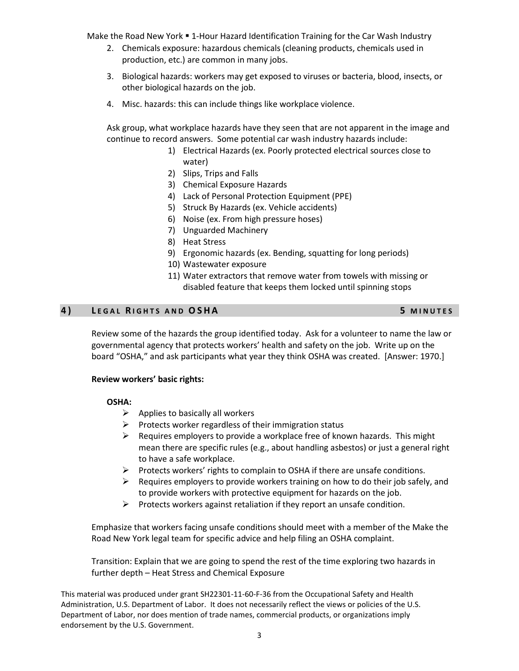Make the Road New York . 1-Hour Hazard Identification Training for the Car Wash Industry

- 2. Chemicals exposure: hazardous chemicals (cleaning products, chemicals used in production, etc.) are common in many jobs.
- 3. Biological hazards: workers may get exposed to viruses or bacteria, blood, insects, or other biological hazards on the job.
- 4. Misc. hazards: this can include things like workplace violence.

Ask group, what workplace hazards have they seen that are not apparent in the image and continue to record answers. Some potential car wash industry hazards include:

- 1) Electrical Hazards (ex. Poorly protected electrical sources close to water)
- 2) Slips, Trips and Falls
- 3) Chemical Exposure Hazards
- 4) Lack of Personal Protection Equipment (PPE)
- 5) Struck By Hazards (ex. Vehicle accidents)
- 6) Noise (ex. From high pressure hoses)
- 7) Unguarded Machinery
- 8) Heat Stress
- 9) Ergonomic hazards (ex. Bending, squatting for long periods)
- 10) Wastewater exposure
- 11) Water extractors that remove water from towels with missing or disabled feature that keeps them locked until spinning stops

### **4 ) L E G A L R I G H T S A N D O S H A 5 M I N U T E S**

# Review some of the hazards the group identified today. Ask for a volunteer to name the law or governmental agency that protects workers' health and safety on the job. Write up on the board "OSHA," and ask participants what year they think OSHA was created. [Answer: 1970.]

### **Review workers' basic rights:**

### **OSHA:**

- $\triangleright$  Applies to basically all workers
- $\triangleright$  Protects worker regardless of their immigration status
- $\triangleright$  Requires employers to provide a workplace free of known hazards. This might mean there are specific rules (e.g., about handling asbestos) or just a general right to have a safe workplace.
- $\triangleright$  Protects workers' rights to complain to OSHA if there are unsafe conditions.
- $\triangleright$  Requires employers to provide workers training on how to do their job safely, and to provide workers with protective equipment for hazards on the job.
- $\triangleright$  Protects workers against retaliation if they report an unsafe condition.

Emphasize that workers facing unsafe conditions should meet with a member of the Make the Road New York legal team for specific advice and help filing an OSHA complaint.

Transition: Explain that we are going to spend the rest of the time exploring two hazards in further depth – Heat Stress and Chemical Exposure

This material was produced under grant SH22301-11-60-F-36 from the Occupational Safety and Health Administration, U.S. Department of Labor. It does not necessarily reflect the views or policies of the U.S. Department of Labor, nor does mention of trade names, commercial products, or organizations imply endorsement by the U.S. Government.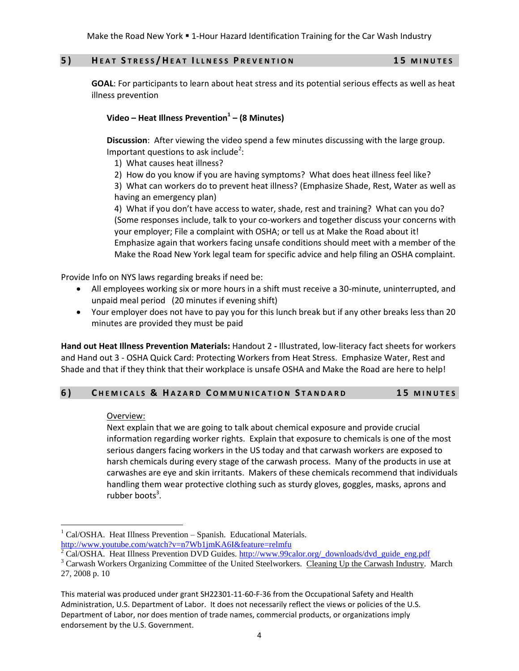Make the Road New York . 1-Hour Hazard Identification Training for the Car Wash Industry

### **5 ) H E A T S T R E S S / H E A T I L L N E S S P R E V E N T I O N 1 5 M I N U T E S**

**GOAL**: For participants to learn about heat stress and its potential serious effects as well as heat illness prevention

## **Video – Heat Illness Prevention<sup>1</sup> – (8 Minutes)**

**Discussion**: After viewing the video spend a few minutes discussing with the large group. Important questions to ask include<sup>2</sup>:

1) What causes heat illness?

2) How do you know if you are having symptoms? What does heat illness feel like?

3) What can workers do to prevent heat illness? (Emphasize Shade, Rest, Water as well as having an emergency plan)

4) What if you don't have access to water, shade, rest and training? What can you do? (Some responses include, talk to your co-workers and together discuss your concerns with your employer; File a complaint with OSHA; or tell us at Make the Road about it! Emphasize again that workers facing unsafe conditions should meet with a member of the Make the Road New York legal team for specific advice and help filing an OSHA complaint.

Provide Info on NYS laws regarding breaks if need be:

- All employees working six or more hours in a shift must receive a 30-minute, uninterrupted, and unpaid meal period (20 minutes if evening shift)
- Your employer does not have to pay you for this lunch break but if any other breaks less than 20 minutes are provided they must be paid

**Hand out Heat Illness Prevention Materials:** Handout 2 **-** Illustrated, low-literacy fact sheets for workers and Hand out 3 - OSHA Quick Card: [Protecting Workers from Heat Stress.](http://www.osha.gov/Publications/osha3154.pdf) Emphasize Water, Rest and Shade and that if they think that their workplace is unsafe OSHA and Make the Road are here to help!

### **6 ) C H E M I C A L S & H A Z A R D C O M M U N I C A T I O N S T A N D A R D 1 5 M I N U T E S**

### Overview:

 $\overline{a}$ 

Next explain that we are going to talk about chemical exposure and provide crucial information regarding worker rights. Explain that exposure to chemicals is one of the most serious dangers facing workers in the US today and that carwash workers are exposed to harsh chemicals during every stage of the carwash process. Many of the products in use at carwashes are eye and skin irritants. Makers of these chemicals recommend that individuals handling them wear protective clothing such as sturdy gloves, goggles, masks, aprons and rubber boots<sup>3</sup>.

 $1$  Cal/OSHA. Heat Illness Prevention – Spanish. Educational Materials. <http://www.youtube.com/watch?v=n7Wb1jmKA6I&feature=relmfu>

 $2$  Cal/OSHA. Heat Illness Prevention DVD Guides. [http://www.99calor.org/\\_downloads/dvd\\_guide\\_eng.pdf](http://www.99calor.org/_downloads/dvd_guide_eng.pdf)

<sup>&</sup>lt;sup>3</sup> Carwash Workers Organizing Committee of the United Steelworkers. Cleaning Up the Carwash Industry. March 27, 2008 p. 10

This material was produced under grant SH22301-11-60-F-36 from the Occupational Safety and Health Administration, U.S. Department of Labor. It does not necessarily reflect the views or policies of the U.S. Department of Labor, nor does mention of trade names, commercial products, or organizations imply endorsement by the U.S. Government.